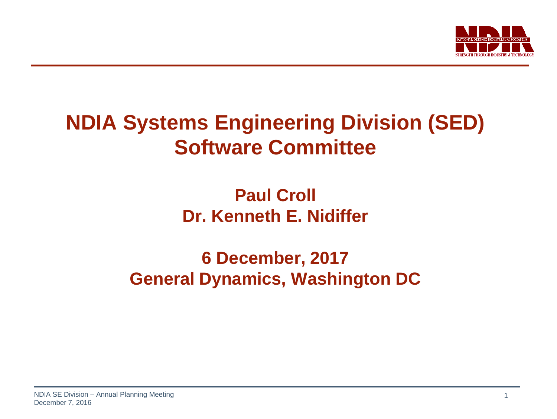

## **NDIA Systems Engineering Division (SED) Software Committee**

## **Paul Croll Dr. Kenneth E. Nidiffer**

## **6 December, 2017 General Dynamics, Washington DC**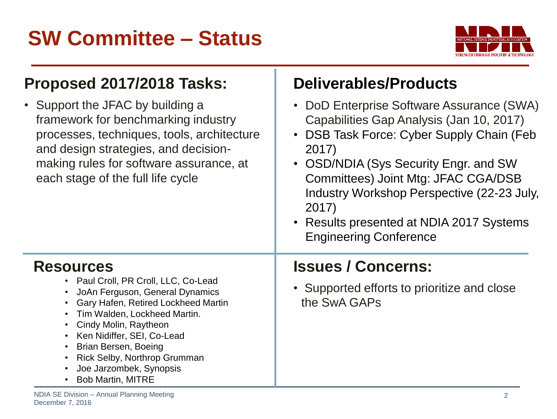## **SW Committee – Status**



#### **Proposed 2017/2018 Tasks:**

• Support the JFAC by building a framework for benchmarking industry processes, techniques, tools, architecture and design strategies, and decisionmaking rules for software assurance, at each stage of the full life cycle

#### **Deliverables/Products**

- DoD Enterprise Software Assurance (SWA) Capabilities Gap Analysis (Jan 10, 2017)
- DSB Task Force: Cyber Supply Chain (Feb 2017)
- OSD/NDIA (Sys Security Engr. and SW Committees) Joint Mtg: JFAC CGA/DSB Industry Workshop Perspective (22-23 July, 2017)
- Results presented at NDIA 2017 Systems Engineering Conference

#### **Resources**

- Paul Croll, PR Croll, LLC, Co-Lead
- JoAn Ferguson, General Dynamics
- Gary Hafen, Retired Lockheed Martin
- Tim Walden, Lockheed Martin.
- Cindy Molin, Raytheon
- Ken Nidiffer, SEI, Co-Lead
- Brian Bersen, Boeing
- Rick Selby, Northrop Grumman
- Joe Jarzombek, Synopsis
- Bob Martin, MITRE

- **Issues / Concerns:**
- Supported efforts to prioritize and close the SwA GAPs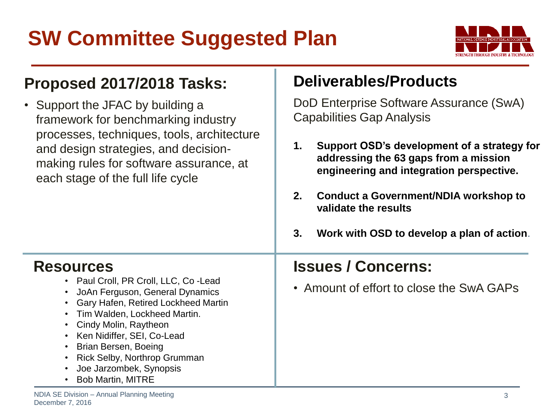# **SW Committee Suggested Plan**



#### **Proposed 2017/2018 Tasks:**

• Support the JFAC by building a framework for benchmarking industry processes, techniques, tools, architecture and design strategies, and decisionmaking rules for software assurance, at each stage of the full life cycle

#### **Deliverables/Products**

DoD Enterprise Software Assurance (SwA) Capabilities Gap Analysis

- **1. Support OSD's development of a strategy for addressing the 63 gaps from a mission engineering and integration perspective.**
- **2. Conduct a Government/NDIA workshop to validate the results**
- **3. Work with OSD to develop a plan of action**.

#### **Resources**

- Paul Croll, PR Croll, LLC, Co -Lead
- JoAn Ferguson, General Dynamics
- Gary Hafen, Retired Lockheed Martin
- Tim Walden, Lockheed Martin.
- Cindy Molin, Raytheon
- Ken Nidiffer, SEI, Co-Lead
- Brian Bersen, Boeing
- Rick Selby, Northrop Grumman
- Joe Jarzombek, Synopsis
- Bob Martin, MITRE

#### **Issues / Concerns:**

• Amount of effort to close the SwA GAPs